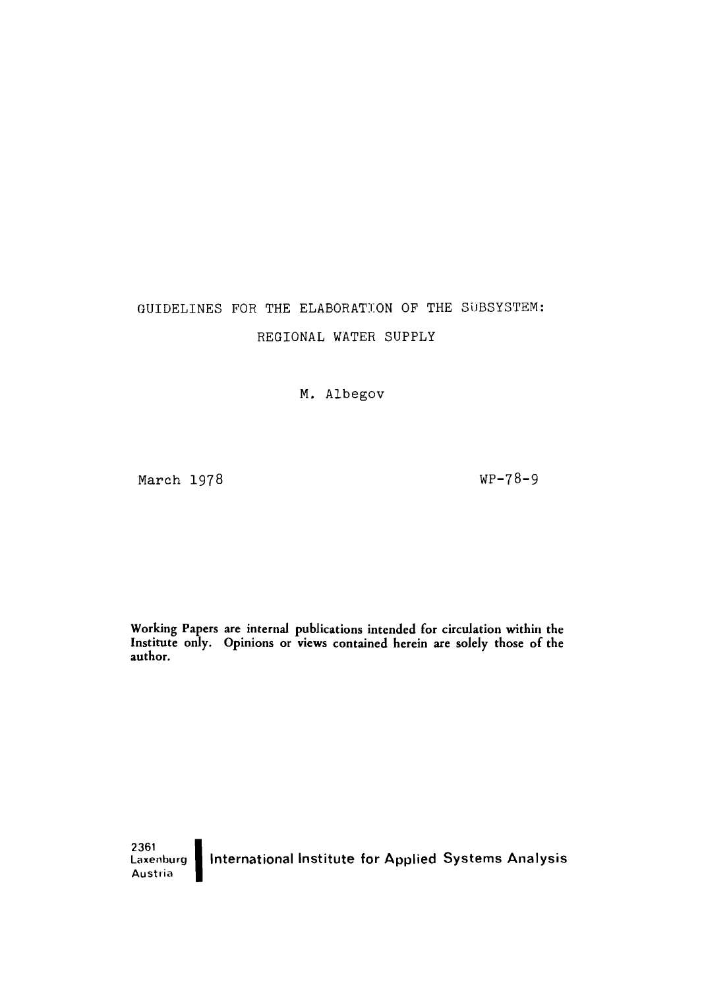# GUIDELINES FOR THE ELABORATION OF THE SUBSYSTEM: REGIONAL WATER SUPPLY

M. Albegov

March 1978 WP-78-9

Working Papers are internal publications intended for circulation within the Institute only. Opinions or views contained herein are solely those of the author.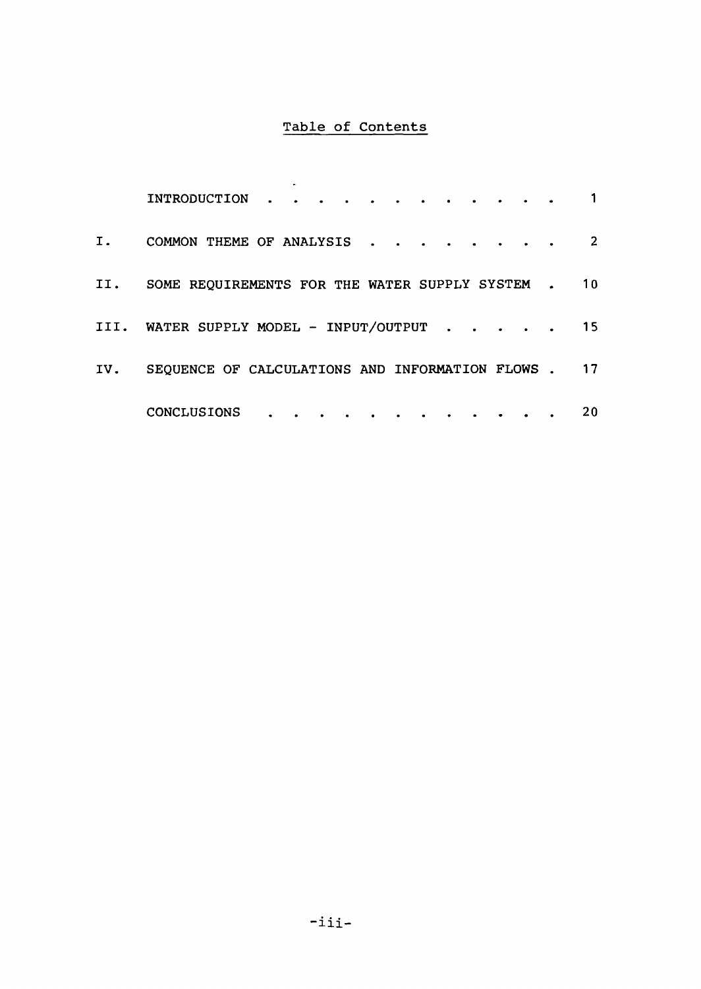# Table of Contents

|      | INTRODUCTION                                    |     |
|------|-------------------------------------------------|-----|
| Ι.   | THEME OF ANALYSIS<br><b>COMMON</b>              | 2   |
| 11.  | SOME REQUIREMENTS FOR THE WATER SUPPLY SYSTEM   | 10  |
| III. | WATER SUPPLY MODEL - INPUT/OUTPUT               | 15. |
| IV.  | SEQUENCE OF CALCULATIONS AND INFORMATION FLOWS. | 17  |
|      | CONCLUSIONS                                     | 20  |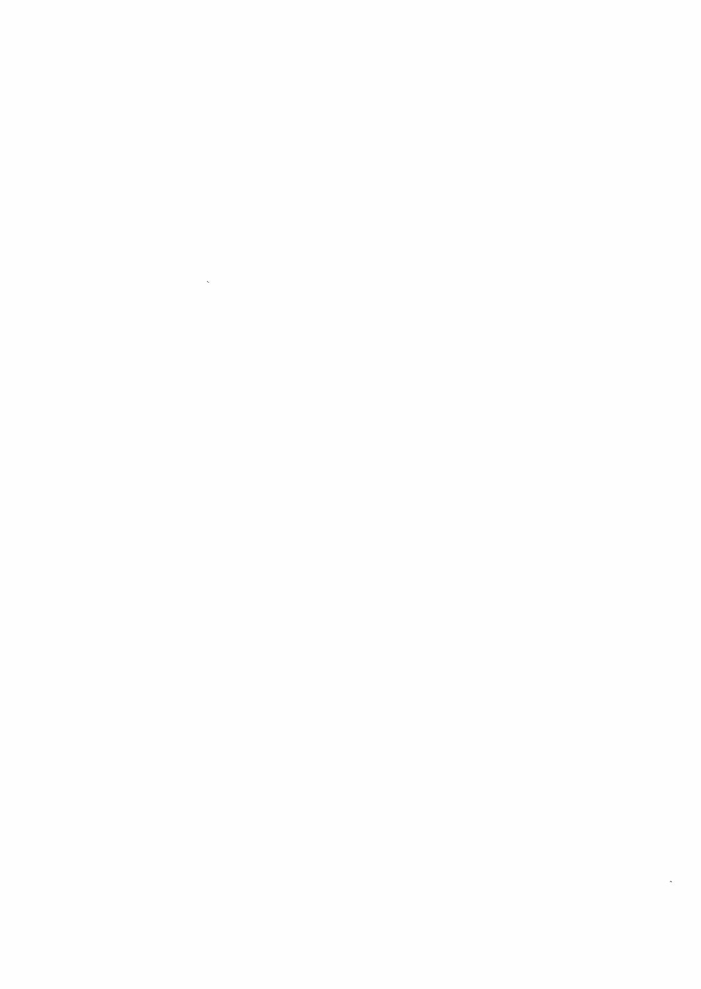$\label{eq:2.1} \frac{d\mu}{d\mu} = \frac{1}{2\pi}\frac{d\mu}{d\mu} \frac{d\mu}{d\mu} \frac{d\mu}{d\mu} \frac{d\mu}{d\mu} \frac{d\mu}{d\mu} \frac{d\mu}{d\mu} \frac{d\mu}{d\mu} \frac{d\mu}{d\mu} \frac{d\mu}{d\mu} \frac{d\mu}{d\mu} \frac{d\mu}{d\mu} \frac{d\mu}{d\mu} \frac{d\mu}{d\mu} \frac{d\mu}{d\mu} \frac{d\mu}{d\mu} \frac{d\mu}{d\mu} \frac{d\mu}{d\mu} \frac{d$ 

 $\sim 800$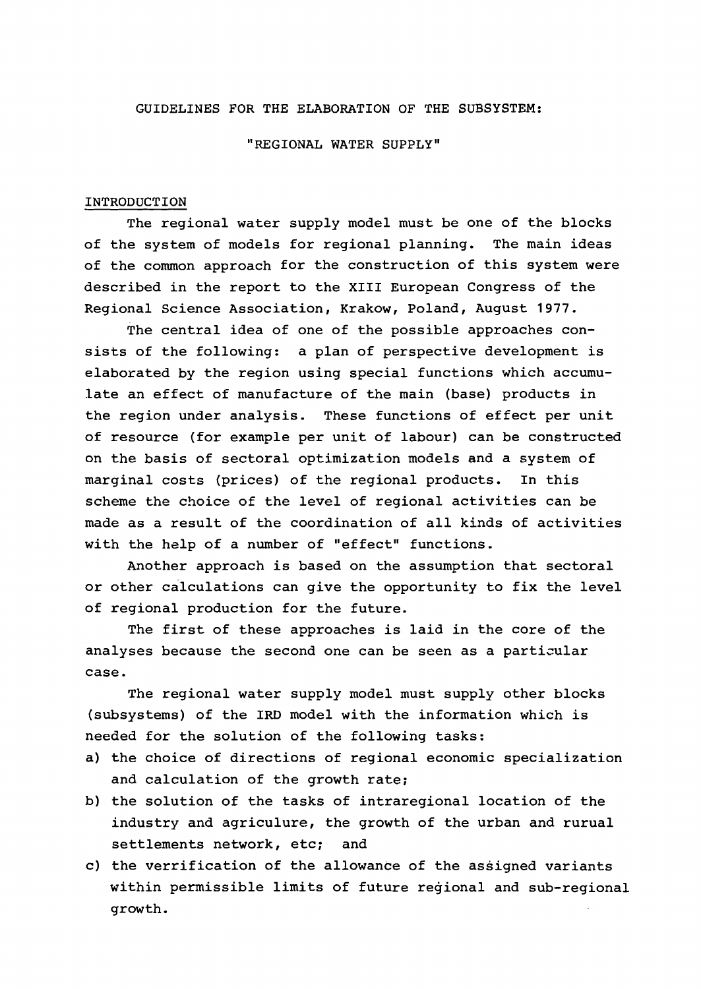#### GUIDELINES FOR THE ELABORATION OF THE SUBSYSTEM:

"REGIONAL WATER SUPPLY"

#### INTRODUCTION

The regional water supply model must be one of the blocks of the system of models for regional planning. The main ideas of the common approach for the construction of this system were described in the report to the XIII European Congress of the Regional Science Association, Krakow, Poland, August 1977.

The central idea of one of the possible approaches consists of the following: <sup>a</sup> plan of perspective development is elaborated by the region using special functions which accumulate an effect of manufacture of the main (base) products in the region under analysis. These functions of effect per unit of resource (for example per unit of labour) can be constructed on the basis of sectoral optimization models and a system of marginal costs (prices) of the regional products. In this scheme the choice of the level of regional activities can be made as <sup>a</sup> result of the coordination of all kinds of activities with the help of a number of "effect" functions.

Another approach is based on the assumption that sectoral or other calculations can give the opportunity to fix the level of regional production for the future.

The first of these approaches is laid in the core of the analyses because the second one can be seen as a particular case.

The regional water supply model must supply other blocks (subsystems) of the IRD model with the information which is needed for the solution of the following tasks:

- a) the choice of directions of regional economic specialization and calculation of the growth rate;
- b) the solution of the tasks of intraregional location of the industry and agriculure, the growth of the urban and rurual settlements network, etc; and
- c) the verrification of the allowance of the assigned variants within permissible limits of future regional and sub-regional growth.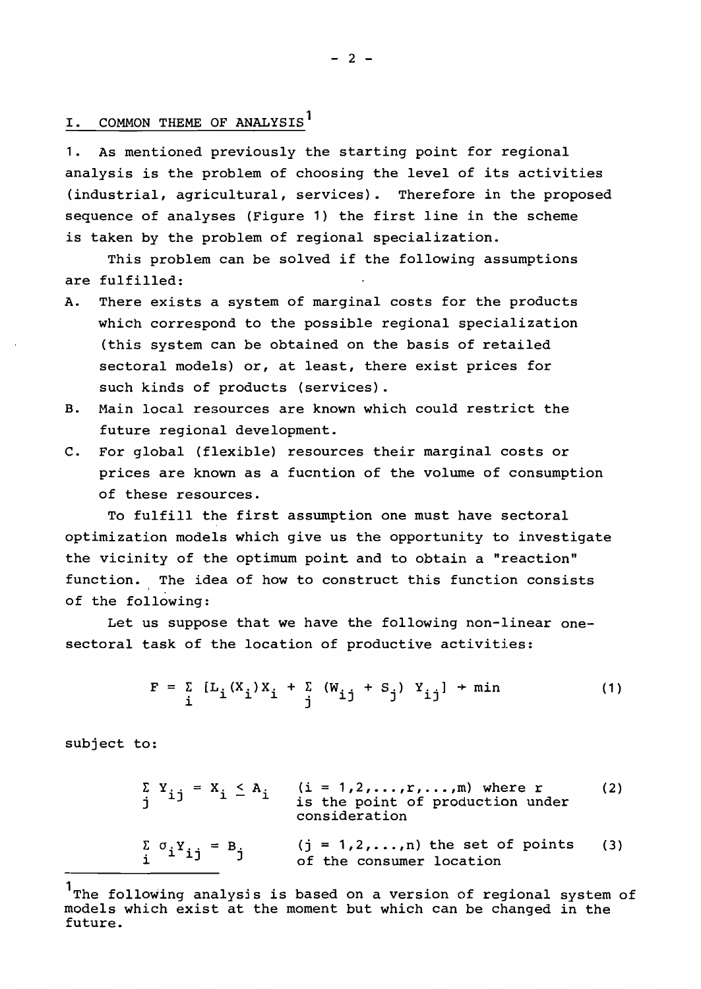# I. COMMON THEME OF ANALYSIS<sup>1</sup>

1. As mentioned previously the starting point for regional analysis is the problem of choosing the level of its activities (industrial, agricultural, services). Therefore in the proposed sequence of analyses (Figure 1) the first line in the scheme is taken by the problem of regional specialization.

This problem can be solved if the following assumptions are fulfilled:

- A. There exists <sup>a</sup> system of marginal costs for the products which correspond to the possible regional specialization (this system can be obtained on the basis of retailed sectoral models) or, at least, there exist prices for such kinds of products (services).
- B. Main local resources are known which could restrict the future regional development.
- C. For global (flexible) resources their marginal costs or prices are known as a fucntion of the volume of consumption of these resources.

To fulfill the first assumption one must have sectoral optimization models which give us the opportunity to investigate the vicinity of the optimum point and to obtain <sup>a</sup> "reaction" function. The idea of how to construct this function consists of the following:

Let us suppose that we have the following non-linear onesectoral task of the location of productive activities:

$$
F = \sum_{i} [L_{i}(X_{i})X_{i} + \sum_{j} (W_{ij} + S_{j}) Y_{ij}] + min
$$
 (1)

subject to:

$$
\Sigma Y_{ij} = X_i \leq A_i \quad (i = 1, 2, ..., r, ..., m) \text{ where } r \text{ is the point of production under consideration}
$$
\n
$$
\Sigma \sigma_i Y_{ij} = B_j \quad (j = 1, 2, ..., n) \text{ the set of points } (3) \text{ of the consumer location}
$$

<sup>&</sup>lt;sup>1</sup>The following analysis is based on a version of regional system of models which exist at the moment but which can be changed in the future.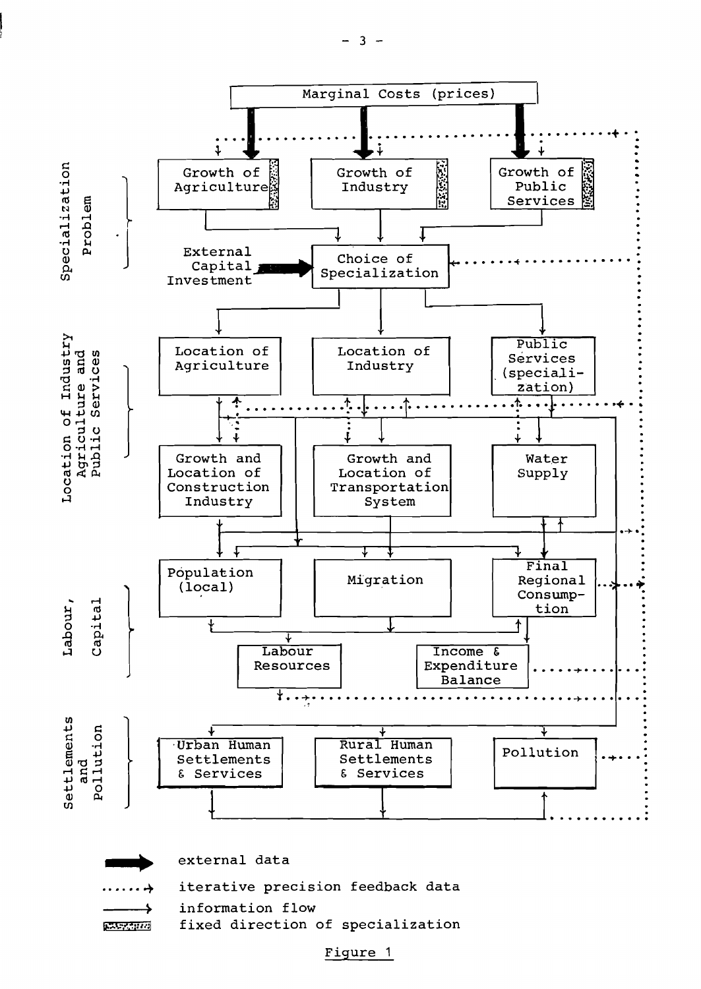

iterative precision feedback data

information flow

**REPEATER** 

fixed direction of specialization

 $3 -$ 

Figure 1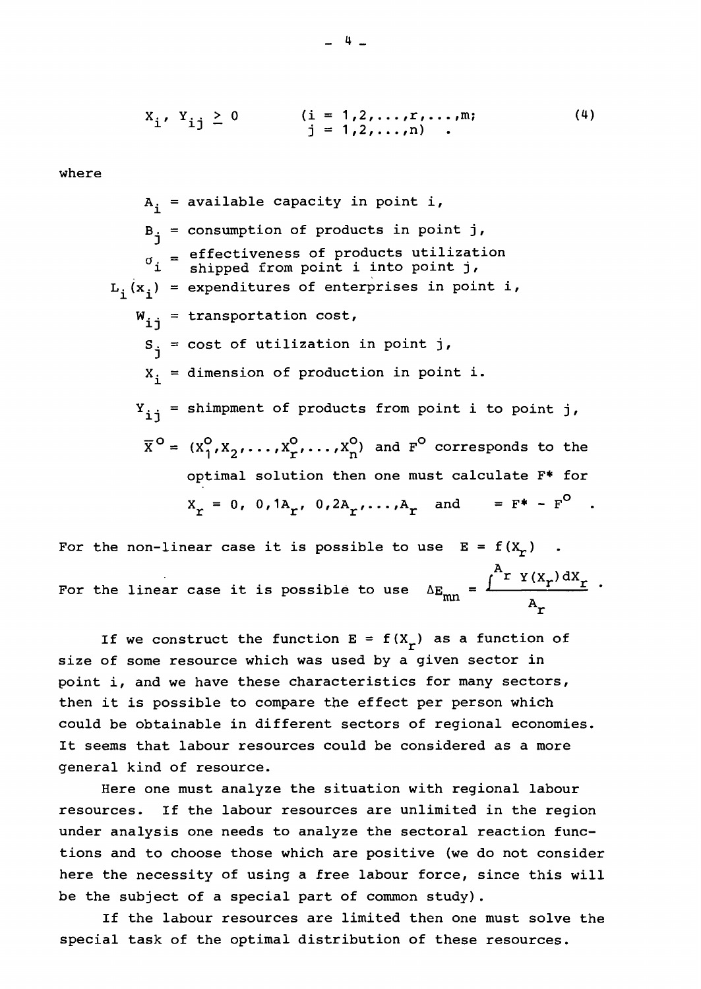$$
X_i, Y_{ij} \ge 0
$$
 (i = 1,2,...,r,...,m; (4)  
 j = 1,2,...,n)

where

 $A_i$  = available capacity in point i,  $B_j$  = consumption of products in point j,<br> $\sigma_{ij}$  = effectiveness of products utilization  $\sigma$ <sub>i</sub> shipped from point <sup>i</sup> into point j,  $L_i(x_i)$  = expenditures of enterprises in point i, W<sub>ij</sub> = transportation cost, S<sub>j</sub> = cost of utilization in point j,  $X_i$  = dimension of production in point i.  $X_i$  = dimension of production in point i.<br>  $X_{ij}$  = shimpment of products from point i to point j,<br>  $\overline{X}^{\circ} = (X_1^{\circ}, X_2, \ldots, X_T^{\circ}, \ldots, X_n^{\circ})$  and  $F^{\circ}$  corresponds to the  $Y_{i,j}$  = shimpment of products from point i to point j, optimal solution then one must calculate F\* for  $X_r = 0$ ,  $0.1A_r$ ,  $0.2A_r$ , ...,  $A_r$  and  $= F^* - F^0$ .

For the non-linear case it is possible to use  $|{\tt E} | = {\tt f} \, ( {\tt X_f})$ For the linear case it is possible to use  $\Delta E_{mn}^{\phantom{\dag}}$  $=\int^{A_r} \frac{Y(x_r) dx_j}{r}$  $\mathbf{A}_{\mathbf{j}}$ 

If we construct the function  $E = f(X_r)$  as a function of size of some resource which was used by a given sector in point i, and we have these characteristics for many sectors, then it is possible to compare the effect per person which could be obtainable in different sectors of regional economies. It seems that labour resources could be considered as <sup>a</sup> more general kind of resource.

Here one must analyze the situation with regional labour resources. If the labour resources are unlimited in the region under analysis one needs to analyze the sectoral reaction functions and to choose those which are positive (we do not consider here the necessity of using <sup>a</sup> free labour force, since this will be the subject of a special part of common study).

If the labour resources are limited then one must solve the special task of the optimal distribution of these resources.

\_ 4\_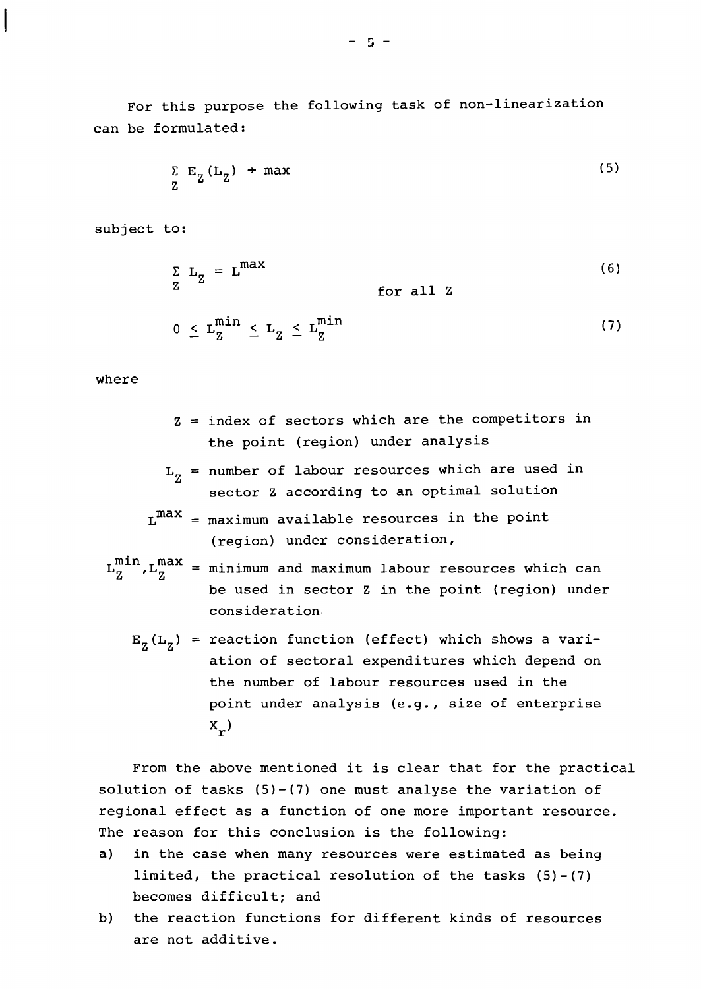For this purpose the following task of non-linearization can be formulated:

$$
\sum_{Z} E_{Z} (L_{Z}) \rightarrow \max
$$
 (5)

subject to:

$$
\sum_{Z} L_{Z} = L^{max}
$$
 for all Z (6)

$$
0 \leq L_Z^{\min} \leq L_Z \leq L_Z^{\min} \tag{7}
$$

where

- $z =$  index of sectors which are the competitors in the point (region) under analysis
- $L_{7}$  = number of labour resources which are used in sector Z according to an optimal solution

$$
L^{max} = maximum available resources in the point (region) under consideration,
$$

- $L_2^{min}$ , $L_2^{max}$  = minimum and maximum labour resources which can be used in sector Z in the point (region) under consideration.
	- $E_{\tau}(L_{\tau})$  = reaction function (effect) which shows a variation of sectoral expenditures which depend on the number of labour resources used in the point under analysis (e.g., size of enterprise  $\mathbf{x}_{\mathbf{r}}^{\,}$

From the above mentioned it is clear that for the practical solution of tasks  $(5)-(7)$  one must analyse the variation of regional effect as <sup>a</sup> function of one more important resource. The reason for this conclusion is the following:

- a) in the case when many resources were estimated as being limited, the practical resolution of the tasks (5)-(7) becomes difficult; and
- b) the reaction functions for different kinds of resources are not additive.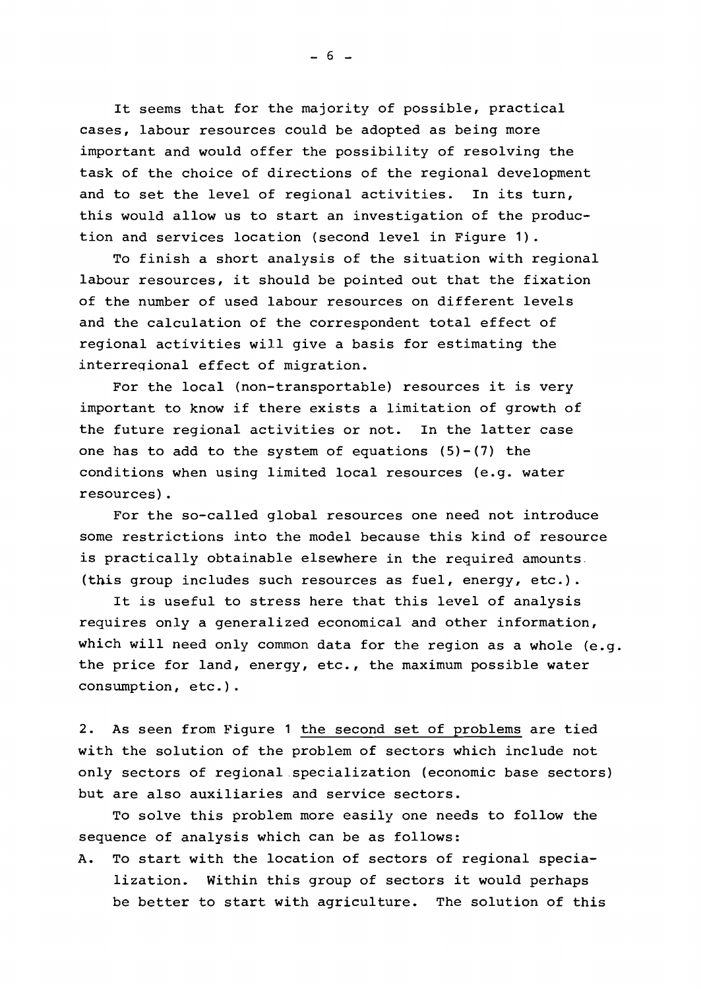It seems that for the majority of possible, practical cases, labour resources could be adopted as being more important and would offer the possibility of resolving the task of the choice of directions of the regional development and to set the level of regional activities. In its turn, this would allow us to start an investigation of the production and services location (second level in Figure 1).

To finish <sup>a</sup> short analysis of the situation with regional labour resources, it should be pointed out that the fixation of the number of used labour resources on different levels and the calculation of the correspondent total effect of regional activities will give <sup>a</sup> basis for estimating the interreqional effect of migration.

For the local (non-transportable) resources it is very important to know if there exists <sup>a</sup> limitation of growth of the future regional activities or not. In the latter case one has to add to the system of equations  $(5)-(7)$  the conditions when using limited local resources (e.g. water resources) .

For the so-called global resources one need not introduce some restrictions into the model because this kind of resource is practically obtainable elsewhere in the required amounts. (this group includes such resources as fuel, energy, etc.).

It is useful to stress here that this level of analysis requires only a generalized economical and other information, which will need only common data for the region as a whole (e.g. the price for land, energy, etc., the maximum possible water consumption, etc.).

2. As seen from Figure <sup>1</sup> the second set of problems are tied with the solution of the problem of sectors which include not only sectors of regional specialization (economic base sectors) but are also auxiliaries and service sectors.

To solve this problem more easily one needs to follow the sequence of analysis which can be as follows:

A. To start with the location of sectors of regional specialization. Within this group of sectors it would perhaps be better to start with agriculture. The solution of this

 $- 6 -$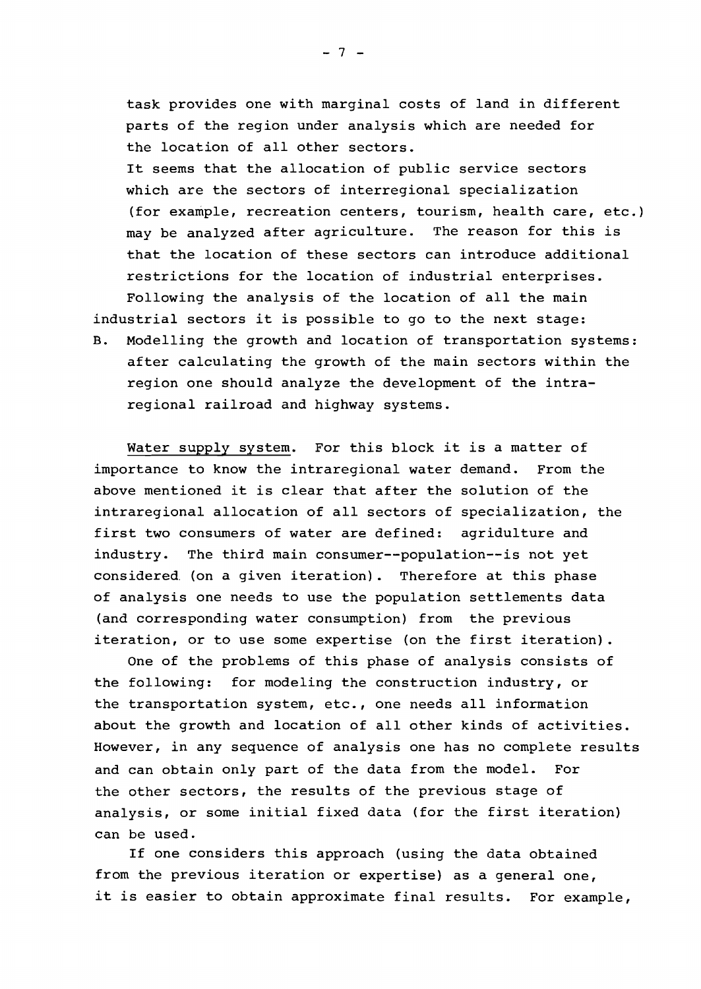task provides one with marginal costs of land in different parts of the region under analysis which are needed for the location of all other sectors. It seems that the allocation of public service sectors which are the sectors of interregional specialization (for example, recreation centers, tourism, health care, etc.) may be analyzed after agriculture. The reason for this is that the location of these sectors can introduce additional restrictions for the location of industrial enterprises. Following the analysis of the location of all the main industrial sectors it is possible to go to the next stage:

B. Modelling the growth and location of transportation systems: after calculating the growth of the main sectors within the region one should analyze the development of the intraregional railroad and highway systems.

Water supply system. For this block it is <sup>a</sup> matter of importance to know the intraregional water demand. From the above mentioned it is clear that after the solution of the intraregional allocation of all sectors of specialization, the first two consumers of water are defined: agridulture and industry. The third main consumer--population--is not yet considered (on <sup>a</sup> given iteration). Therefore at this phase of analysis one needs to use the population settlements data (and corresponding water consumption) from the previous iteration, or to use some expertise (on the first iteration).

One of the problems of this phase of analysis consists of the following: for modeling the construction industry, or the transportation system, etc., one needs all information about the growth and location of all other kinds of activities. However, in any sequence of analysis one has no complete results and can obtain only part of the data from the model. For the other sectors, the results of the previous stage of analysis, or some initial fixed data (for the first iteration) can be used.

If one considers this approach (using the data obtained from the previous iteration or expertise) as <sup>a</sup> general one, it is easier to obtain approximate final results. For example,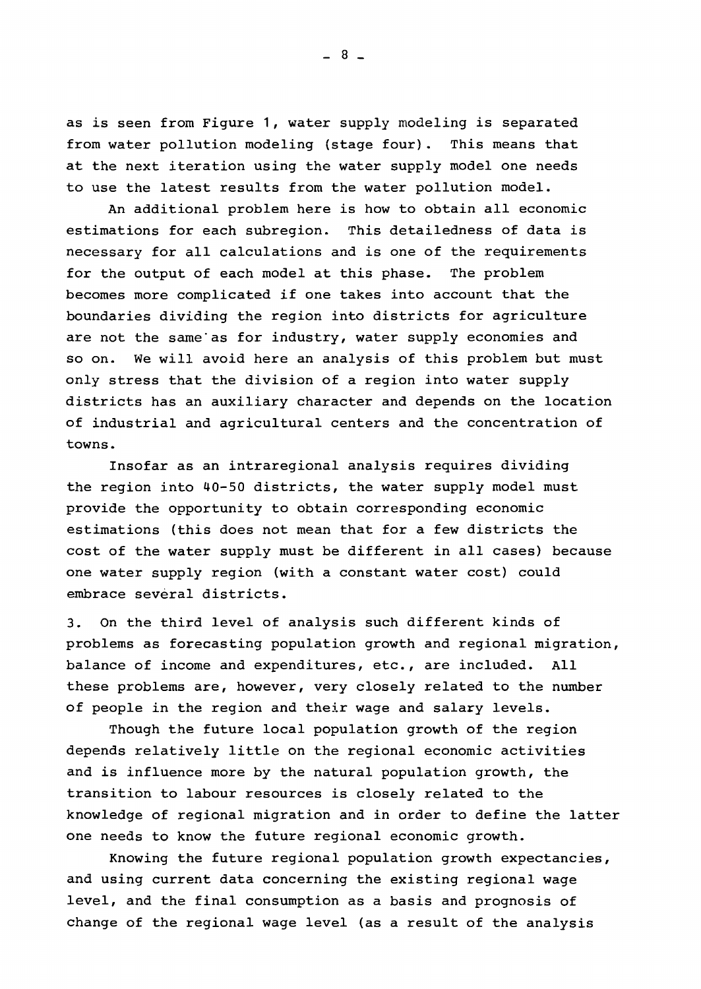as is seen from Figure **1,** water supply modeling is separated from water pollution modeling (stage four). This means that at the next iteration using the water supply model one needs to use the latest results from the water pollution model.

An additional problem here is how to obtain all economic estimations for each subregion. This detailedness of data is necessary for all calculations and is one of the requirements for the output of each model at this phase. The problem becomes more complicated if one takes into account that the boundaries dividing the region into districts for agriculture are not the same as for industry, water supply economies and so on. We will avoid here an analysis of this problem but must only stress that the division of <sup>a</sup> region into water supply districts has an auxiliary character and depends on the location of industrial and agricultural centers and the concentration of towns.

Insofar as an intraregional analysis requires dividing the region into 40-50 districts, the water supply model must provide the opportunity to obtain corresponding economic estimations (this does not mean that for <sup>a</sup> few districts the cost of the water supply must be different in all cases) because one water supply region (with a constant water cost) could embrace several districts.

3. On the third level of analysis such different kinds of problems as forecasting population growth and regional migration, balance of income and expenditures, etc., are included. All these problems are, however, very closely related to the number of people in the region and their wage and salary levels.

Though the future local population growth of the region depends relatively little on the regional economic activities and is influence more by the natural population growth, the transition to labour resources is closely related to the knowledge of regional migration and in order to define the latter one needs to know the future regional economic growth.

Knowing the future regional population growth expectancies, and using current data concerning the existing regional wage level, and the final consumption as <sup>a</sup> basis and prognosis of change of the regional wage level (as <sup>a</sup> result of the analysis

 $-8 -$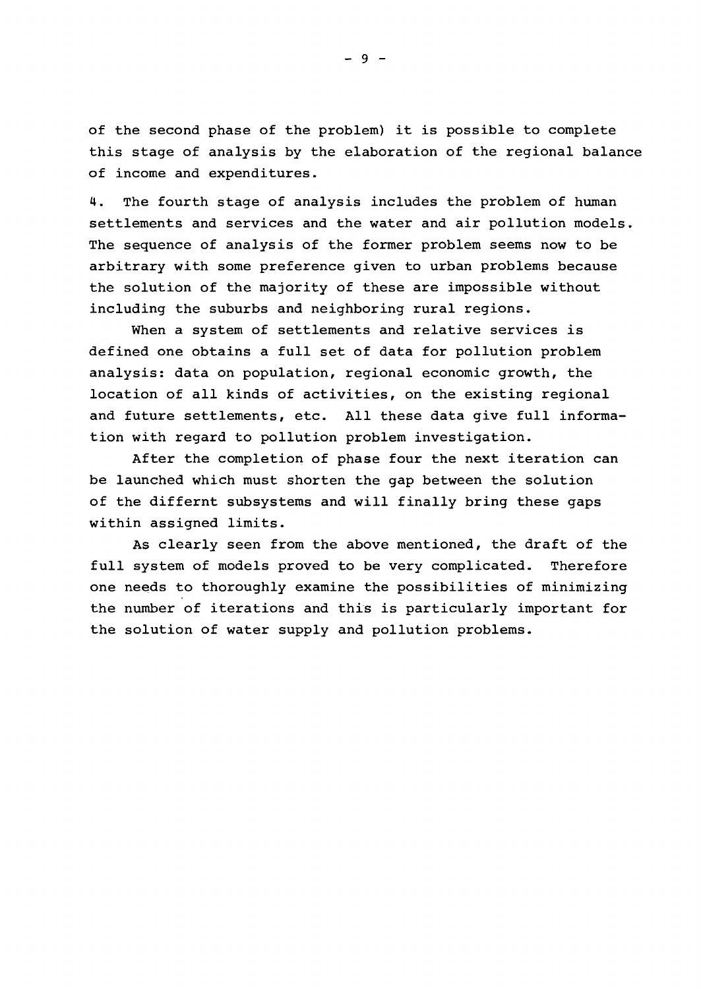of the second phase of the problem) it is possible to complete this stage of analysis by the elaboration of the regional balance of income and expenditures.

4. The fourth stage of analysis includes the problem of human settlements and services and the water and air pollution models. The sequence of analysis of the former problem seems now to be arbitrary with some preference given to urban problems because the solution of the majority of these are impossible without including the suburbs and neighboring rural regions.

When <sup>a</sup> system of settlements and relative services is defined one obtains <sup>a</sup> full set of data for pollution problem analysis: data on population, regional economic growth, the location of all kinds of activities, on the existing regional and future settlements, etc. All these data give full information with regard to pollution problem investigation.

After the completion of phase four the next iteration can be launched which must shorten the gap between the solution of the differnt subsystems and will finally bring these gaps within assigned limits.

As clearly seen from the above mentioned, the draft of the full system of models proved to be very complicated. Therefore one needs to thoroughly examine the possibilities of minimizing the number of iterations and this is particularly important for the solution of water supply and pollution problems.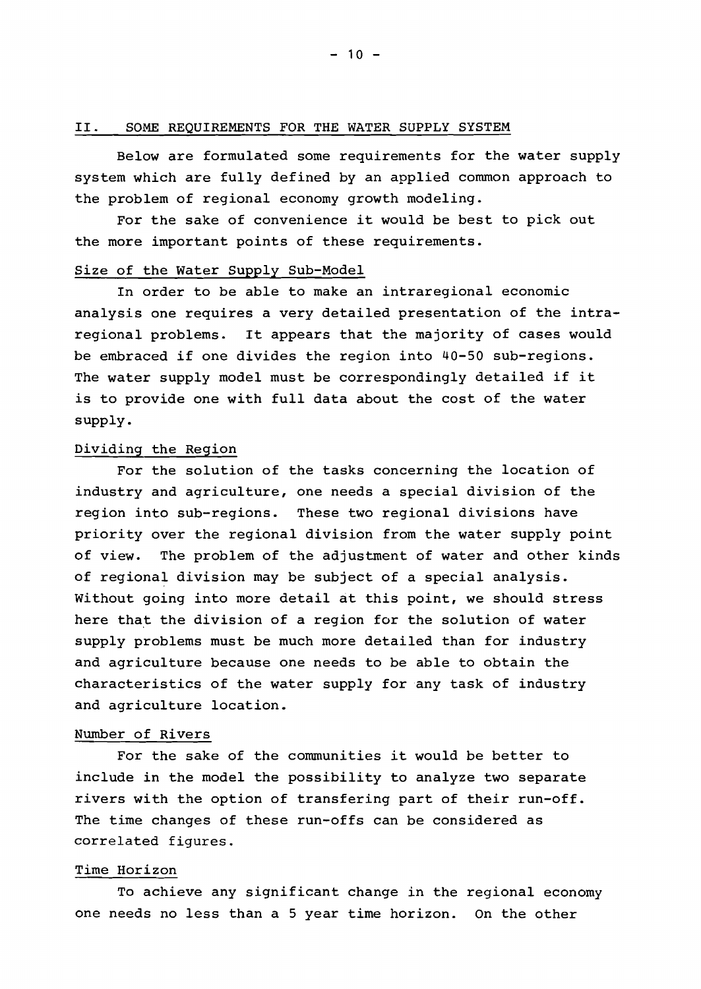#### II. SOME REQUIREMENTS FOR THE WATER SUPPLY SYSTEM

Below are formulated some requirements for the water supply system which are fully defined by an applied common approach to the problem of regional economy growth modeling.

For the sake of convenience it would be best to pick out the more important points of these requirements.

#### Size of the Water Supply Sub-Model

In order to be able to make an intraregional economic analysis one requires <sup>a</sup> very detailed presentation of the intraregional problems. It appears that the majority of cases would be embraced if one divides the region into 40-50 sub-regions. The water supply model must be correspondingly detailed if it is to provide one with full data about the cost of the water supply.

## Dividing the Region

For the solution of the tasks concerning the location of industry and agriculture, one needs a special division of the region into SUb-regions. These two regional divisions have priority over the regional division from the water supply point of view. The problem of the adjustment of water and other kinds of regional division may be subject of a special analysis. Without going into more detail at this point, we should stress here that the division of <sup>a</sup> region for the solution of water supply problems must be much more detailed than for industry and agriculture because one needs to be able to obtain the characteristics of the water supply for any task of industry and agriculture location.

#### Number of Rivers

For the sake of the communities it would be better to include in the model the possibility to analyze two separate rivers with the option of transfering part of their run-off. The time changes of these run-offs can be considered as correlated figures.

## Time Horizon

To achieve any significant change in the regional economy one needs no less than a 5 year time horizon. On the other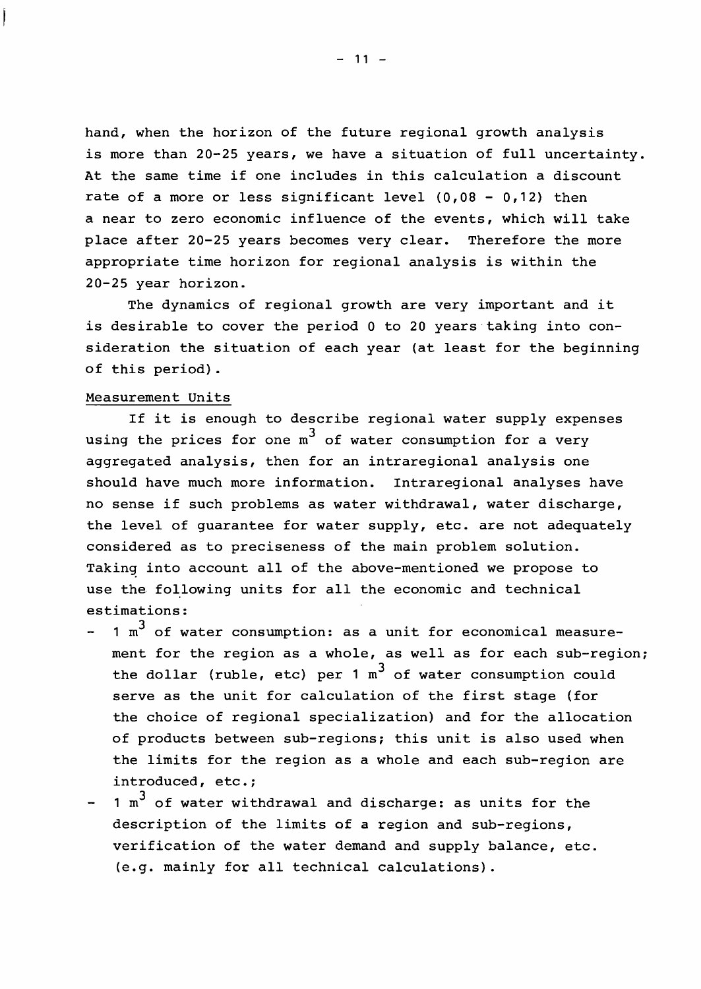hand, when the horizon of the future regional growth analysis is more than 20-25 years, we have <sup>a</sup> situation of full uncertainty. At the same time if one includes in this calculation <sup>a</sup> discount rate of a more or less significant level  $(0,08 - 0,12)$  then <sup>a</sup> near to zero economic influence of the events, which will take place after 20-25 years becomes very clear. Therefore the more appropriate time horizon for regional analysis is within the 20-25 year horizon.

The dynamics of regional growth are very important and it is desirable to cover the period <sup>0</sup> to <sup>20</sup> years taking into consideration the situation of each year (at least for the beginning of this period).

#### Measurement Units

If it is enough to describe regional water supply expenses using the prices for one  $\texttt{m}^3$  of water consumption for a very aggregated analysis, then for an intraregional analysis one should have much more information. Intraregional analyses have no sense if such problems as water withdrawal, water discharge, the level of guarantee for water supply, etc. are not adequately considered as to preciseness of the main problem solution. Taking into account all of the above-mentioned we propose to use the following units for all the economic and technical estimations:

- $1 m<sup>3</sup>$  of water consumption: as a unit for economical measurement for the region as a whole, as well as for each sub-region; the dollar (ruble, etc) per 1  $m<sup>3</sup>$  of water consumption could serve as the unit for calculation of the first stage (for the choice of regional specialization) and for the allocation of products between sub-regions; this unit is also used when the limits for the region as a whole and each sub-region are introduced, etc.;
- $-$  1  $m^3$  of water withdrawal and discharge: as units for the description of the limits of a region and sub-regions, verification of the water demand and supply balance, etc. (e.g. mainly for all technical calculations).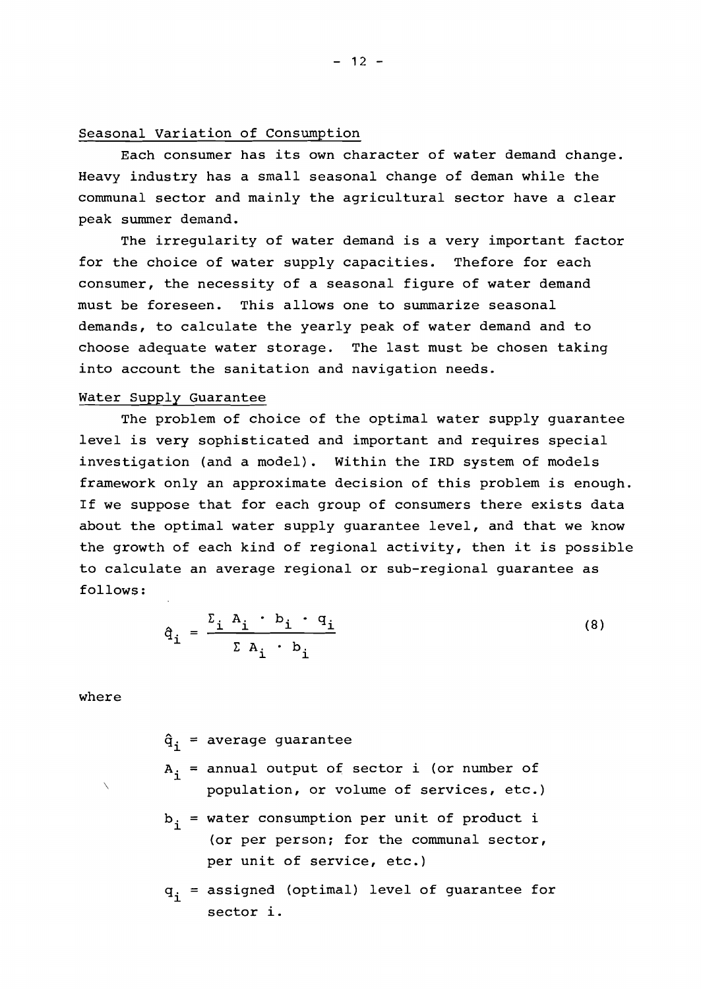#### Seasonal Variation of Consumption

Each consumer has its own character of water demand change. Heavy industry has a small seasonal change of deman while the communal sector and mainly the agricultural sector have <sup>a</sup> clear peak summer demand.

The irregularity of water demand is <sup>a</sup> very important factor for the choice of water supply capacities. Thefore for each consumer, the necessity of a seasonal figure of water demand must be foreseen. This allows one to summarize seasonal demands, to calculate the yearly peak of water demand and to choose adequate water storage. The last must be chosen taking into account the sanitation and navigation needs.

#### Water Supply Guarantee

The problem of choice of the optimal water supply guarantee level is very sophisticated and important and requires special investigation (and <sup>a</sup> model). Within the IRD system of models framework only an approximate decision of this problem is enough. If we suppose that for each group of consumers there exists data about the optimal water supply guarantee level, and that we know the growth of each kind of regional activity, then it is possible to calculate an average regional or sub-regional guarantee as followS:

$$
\hat{q}_{i} = \frac{\sum_{i} A_{i} \cdot b_{i} \cdot q_{i}}{\sum A_{i} \cdot b_{i}}
$$
\n(8)

where

 $\overline{\phantom{a}}$ 

 $\hat{q}_i$  = average guarantee

- A<sub>i</sub> = annual output of sector i (or number of population, or volume of services, etc.)
- $b_i$  = water consumption per unit of product i (or per person; for the communal sector, per unit of service, etc.)
- $q_i$  = assigned (optimal) level of guarantee for sector i.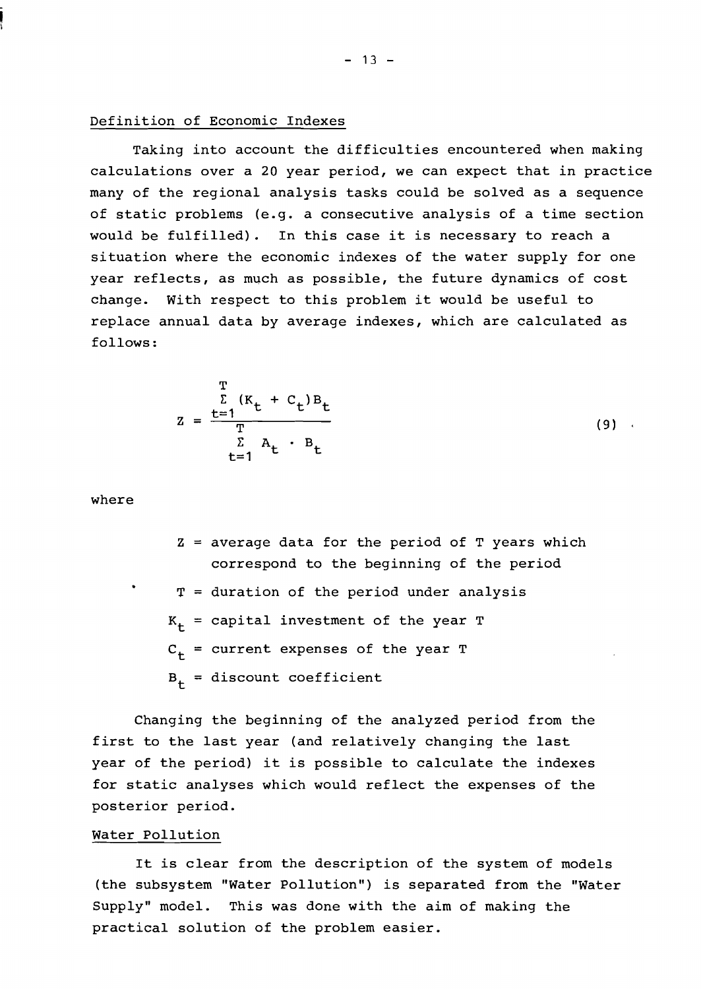#### Definition of Economic Indexes

Taking into account the difficulties encountered when making calculations over <sup>a</sup> 20 year period, we can expect that in practice many of the regional analysis tasks could be solved as a sequence of static problems (e.g. <sup>a</sup> consecutive analysis of <sup>a</sup> time section would be fulfilled). In this case it is necessary to reach <sup>a</sup> situation where the economic indexes of the water supply for one year reflects, as much as possible, the future dynamics of cost change. With respect to this problem it would be useful to replace annual data by average indexes, which are calculated as follows:

$$
Z = \frac{\sum_{t=1}^{T} (K_t + C_t) B_t}{T}
$$
  
\n
$$
\sum_{t=1}^{T} A_t \cdot B_t
$$
 (9)

where

 $Z =$  average data for the period of T years which correspond to the beginning of the period  $T =$  duration of the period under analysis  $K_t$  = capital investment of the year T  $C_t$  = current expenses of the year T  $B_t =$  discount coefficient

Changing the beginning of the analyzed period from the first to the last year (and relatively changing the last year of the period) it is possible to calculate the indexes for static analyses which would reflect the expenses of the posterior period.

#### Water Pollution

It is clear from the description of the system of models (the subsystem "Water Pollution") is separated from the "Water Supply" model. This was done with the aim of making the practical solution of the problem easier.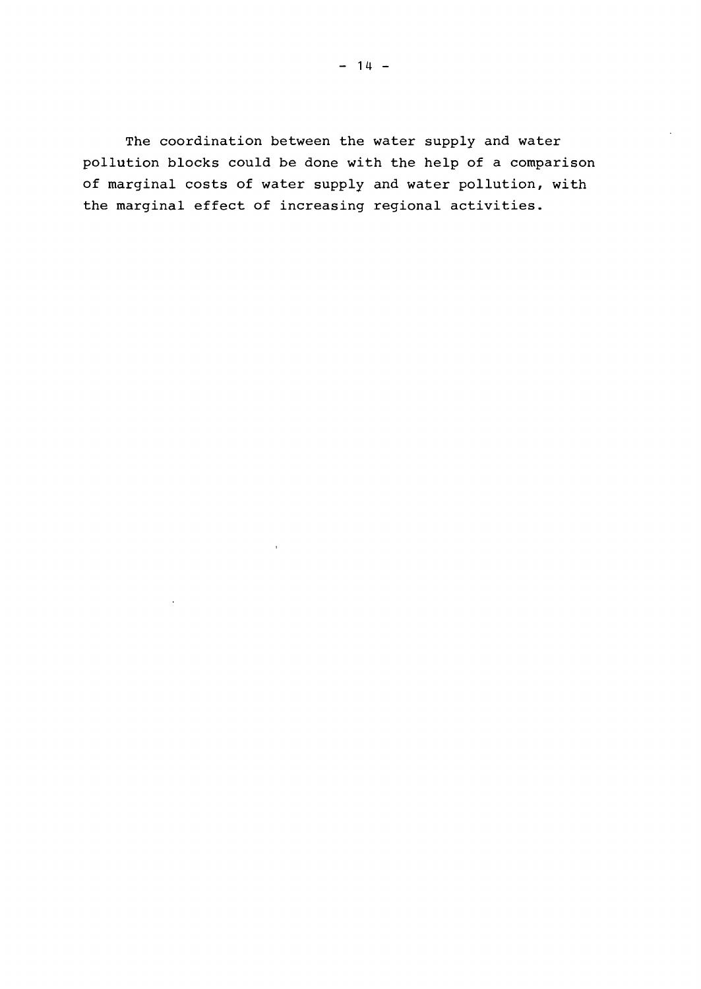The coordination between the water supply and water pollution blocks could be done with the help of a comparison of marginal costs of water supply and water pollution, with the marginal effect of increasing regional activities.

 $\bar{\bar{1}}$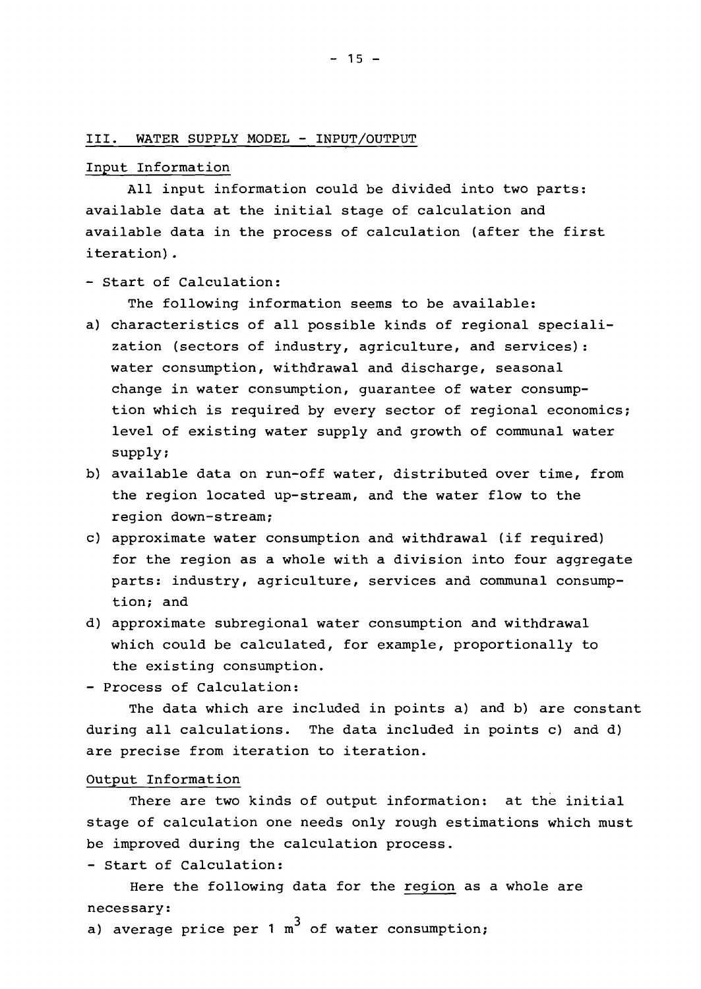#### III. WATER SUPPLY MODEL - INPUT/OUTPUT

#### Input Information

All input information could be divided into two parts: available data at the initial stage of calculation and available data in the process of calculation (after the first iteration).

- Start of Calculation:

The following information seems to be available:

- a) characteristics of all possible kinds of regional specialization (sectors of industry, agriculture, and services): water consumption, withdrawal and discharge, seasonal change in water consumption, guarantee of water consumption which is required by every sector of regional economics; level of existing water supply and growth of communal water supply;
- b) available data on run-off water, distributed over time, from the region located up-stream, and the water flow to the region down-stream;
- c) approximate water consumption and withdrawal (if required) for the region as a whole with a division into four aggregate parts: industry, agriculture, services and communal consumption; and
- d) approximate subregional water consumption and withdrawal which could be calculated, for example, proportionally to the existing consumption.

- Process of Calculation:

The data which are included in points a) and b) are constant during all calculations. The data included in points c) and d) are precise from iteration to iteration.

#### Output Information

There are two kinds of output information: at the initial stage of calculation one needs only rough estimations which must be improved during the calculation process.

- Start of Calculation:

Here the following data for the region as a whole are necessary:

a) average price per 1  $m^3$  of water consumption;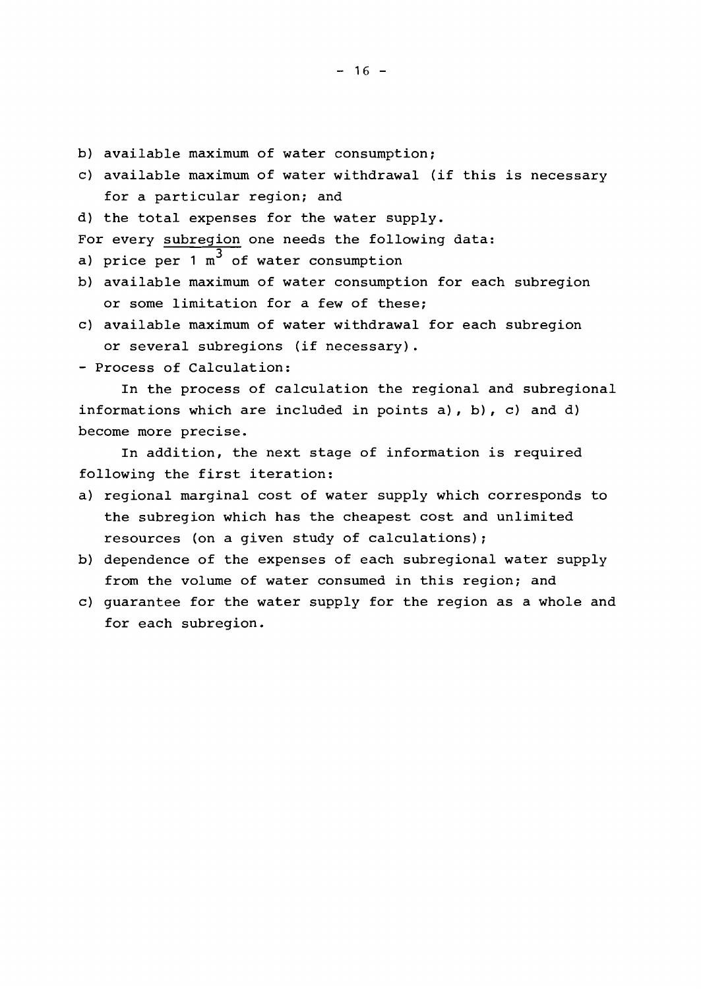- b) available maximum of water consumption;
- c) available maximum of water withdrawal (if this is necessary for a particular region; and
- d) the total expenses for the water supply.

For every subregion one needs the following data:

- a) price per 1  $m^3$  of water consumption
- b) available maximum of water consumption for each subregion or some limitation for a few of these;
- c) available maximum of water withdrawal for each subregion or several subregions (if necessary) .
- Process of Calculation:

In the process of calculation the regional and subregional informations which are included in points a), b), c) and d) become more precise.

In addition, the next stage of information is required following the first iteration:

- a) regional marginal cost of water supply which corresponds to the subregion which has the cheapest cost and unlimited resources (on a given study of calculations);
- b) dependence of the expenses of each subregional water supply from the volume of water consumed in this region; and
- c) guarantee for the water supply for the region as a whole and for each subregion.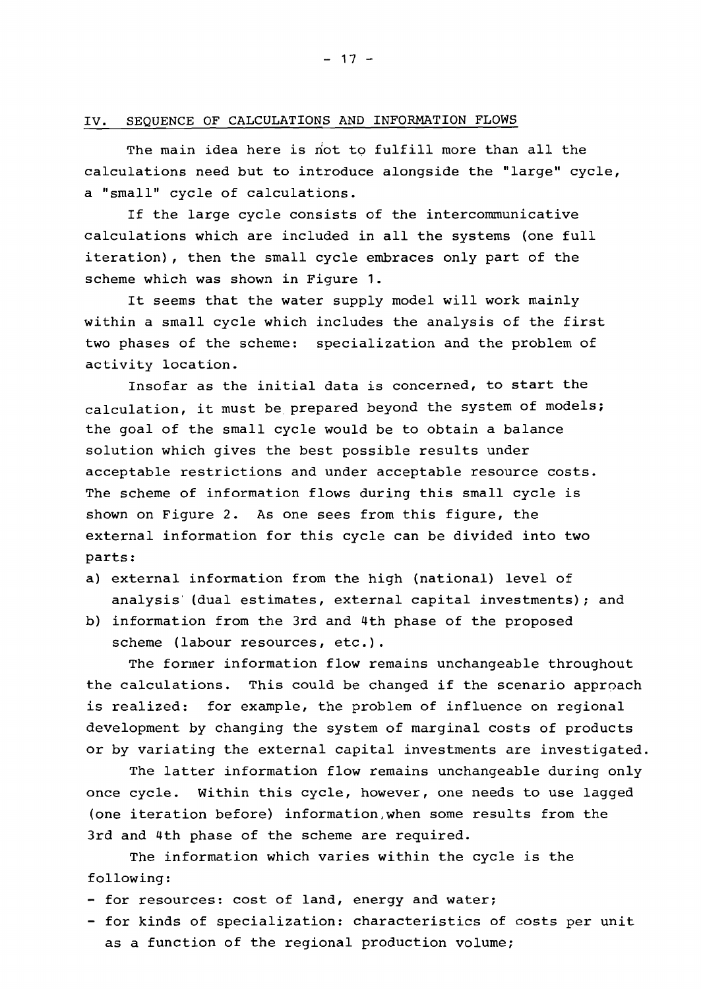# IV. SEQUENCE OF CALCULATIONS AND INFORMATION FLOWS

The main idea here is not to fulfill more than all the calculations need but to introduce alongside the "large" cycle, a "small" cycle of calculations.

If the large cycle consists of the intercommunicative calculations which are included in all the systems (one full iteration), then the small cycle embraces only part of the scheme which was shown in Figure 1.

It seems that the water supply model will work mainly within <sup>a</sup> small cycle which includes the analysis of the first two phases of the scheme: specialization and the problem of activity location.

Insofar as the initial data is concerned, to start the calculation, it must be prepared beyond the system of models; the goal of the small cycle would be to obtain a balance solution which gives the best possible results under acceptable restrictions and under acceptable resource costs. The scheme of information flows during this small cycle is shown on Figure 2. As one sees from this figure, the external information for this cycle can be divided into two parts:

- a) external information from the high (national) level of analysis' (dual estimates, external capital investments); and
- b) information from the 3rd and 4th phase of the proposed scheme (labour resources, etc.).

The former information flow remains unchangeable throughout the calculations. This could be changed if the scenario approach is realized: for example, the problem of influence on regional development by changing the system of marginal costs of products or by variating the external capital investments are investigated.

The latter information flow remains unchangeable during only once cycle. Within this cycle, however, one needs to use lagged (one iteration before) information,when some results from the 3rd and 4th phase of the scheme are required.

The information which varies within the cycle is the following:

- for resources: cost of land, energy and water;
- for kinds of specialization: characteristics of costs per unit as a function of the regional production volume;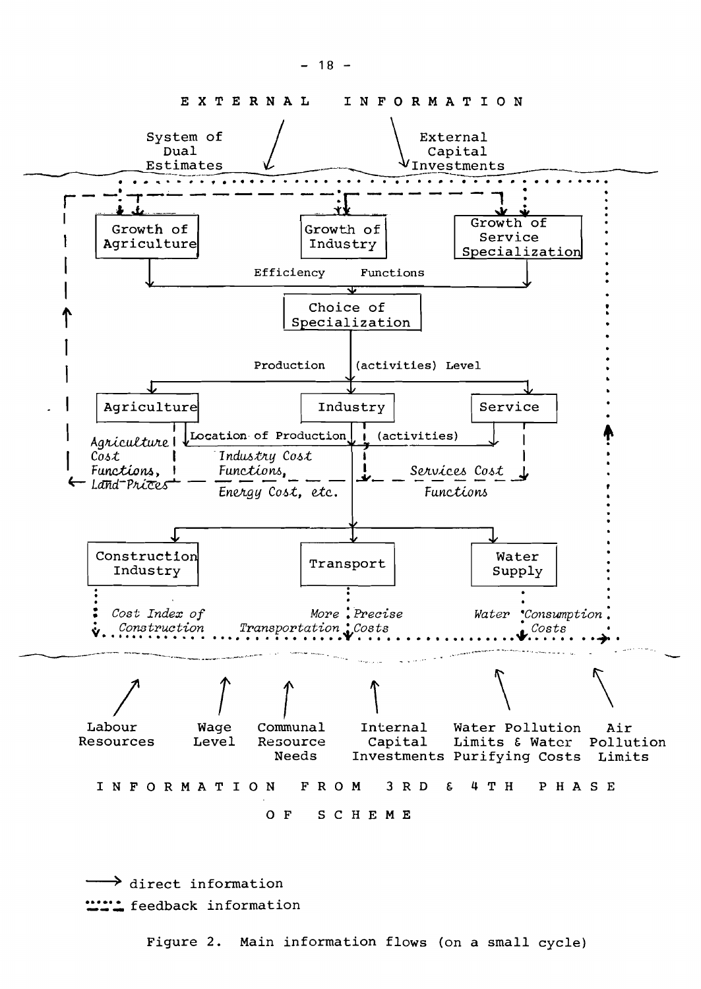

 $\rightarrow$  direct information ":∴feedback information

Figure 2. Main information flows (on a small cycle)

 $-18 -$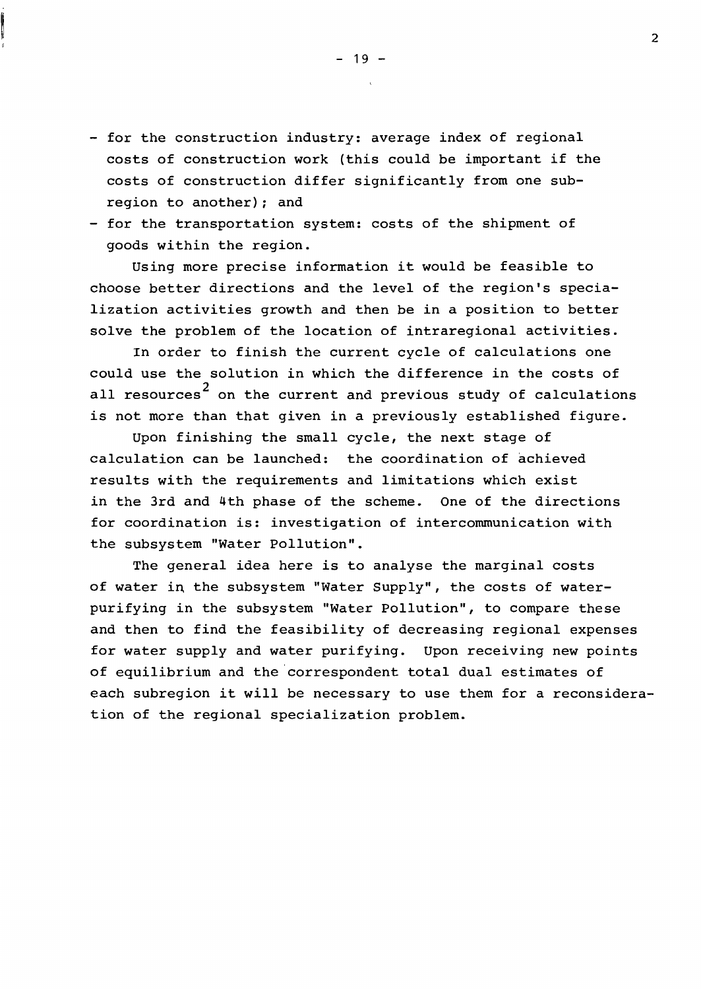- for the construction industry: average index of regional costs of construction work (this could be important if the costs of construction differ significantly from one subregion to another); and
- for the transportation system: costs of the shipment of goods within the region.

Using more precise information it would be feasible to choose better directions and the level of the region's specialization activities growth and then be in <sup>a</sup> position to better solve the problem of the location of intraregional activities.

In order to finish the current cycle of calculations one could use the solution in which the difference in the costs of all resources $^{\mathsf{2}}$  on the current and previous study of calculations is not more than that given in <sup>a</sup> previously established figure.

Upon finishing the small cycle, the next stage of calculation can be launched: the coordination of achieved results with the requirements and limitations which exist in the 3rd and 4th phase of the scheme. One of the directions for coordination is: investigation of intercommunication with the subsystem "Water Pollution".

The general idea here is to analyse the marginal costs of water in the subsystem "Water Supply", the costs of waterpurifying in the subsystem "Water Pollution", to compare these and then to find the feasibility of decreasing regional expenses for water supply and water purifying. Upon receiving new points of equilibrium and the correspondent total dual estimates of each subregion it will be necessary to use them for <sup>a</sup> reconsideration of the regional specialization problem.

 $- 19 -$